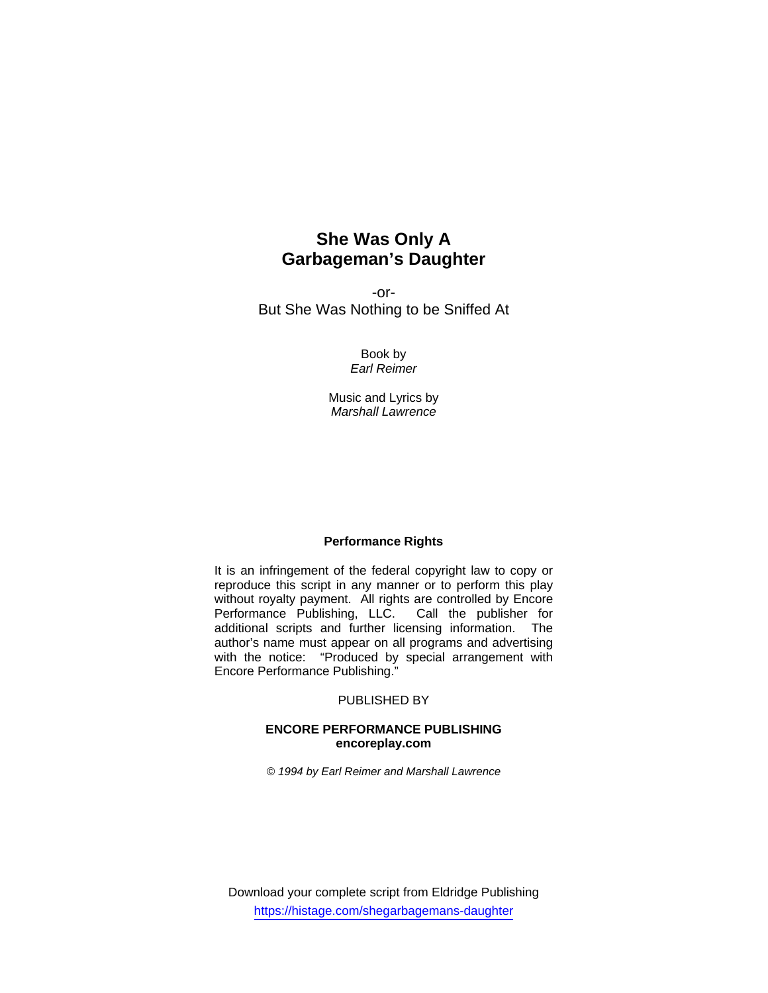# **She Was Only A Garbageman's Daughter**

-or-But She Was Nothing to be Sniffed At

> Book by *Earl Reimer*

Music and Lyrics by *Marshall Lawrence* 

### **Performance Rights**

It is an infringement of the federal copyright law to copy or reproduce this script in any manner or to perform this play without royalty payment. All rights are controlled by Encore Performance Publishing, LLC. Call the publisher for additional scripts and further licensing information. The author's name must appear on all programs and advertising with the notice: "Produced by special arrangement with Encore Performance Publishing."

### PUBLISHED BY

### **ENCORE PERFORMANCE PUBLISHING encoreplay.com**

*© 1994 by Earl Reimer and Marshall Lawrence* 

Download your complete script from Eldridge Publishing https://histage.com/shegarbagemans-daughter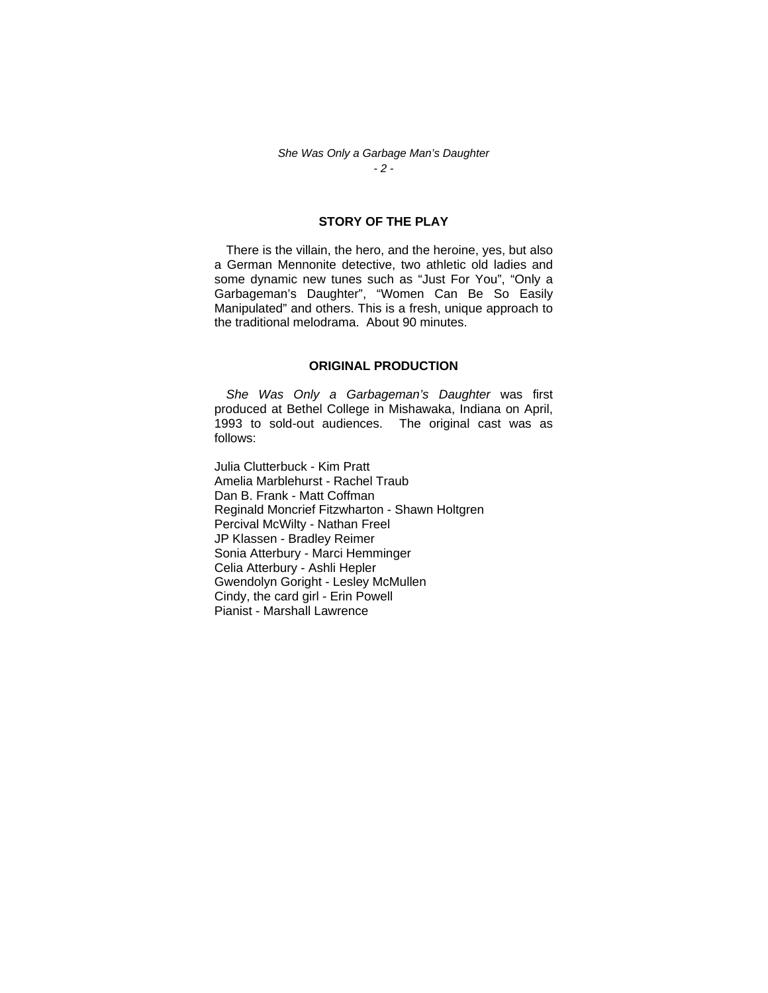### *She Was Only a Garbage Man's Daughter - 2 -*

## **STORY OF THE PLAY**

There is the villain, the hero, and the heroine, yes, but also a German Mennonite detective, two athletic old ladies and some dynamic new tunes such as "Just For You", "Only a Garbageman's Daughter", "Women Can Be So Easily Manipulated" and others. This is a fresh, unique approach to the traditional melodrama. About 90 minutes.

### **ORIGINAL PRODUCTION**

*She Was Only a Garbageman's Daughter* was first produced at Bethel College in Mishawaka, Indiana on April, 1993 to sold-out audiences. The original cast was as follows:

Julia Clutterbuck - Kim Pratt Amelia Marblehurst - Rachel Traub Dan B. Frank - Matt Coffman Reginald Moncrief Fitzwharton - Shawn Holtgren Percival McWilty - Nathan Freel JP Klassen - Bradley Reimer Sonia Atterbury - Marci Hemminger Celia Atterbury - Ashli Hepler Gwendolyn Goright - Lesley McMullen Cindy, the card girl - Erin Powell Pianist - Marshall Lawrence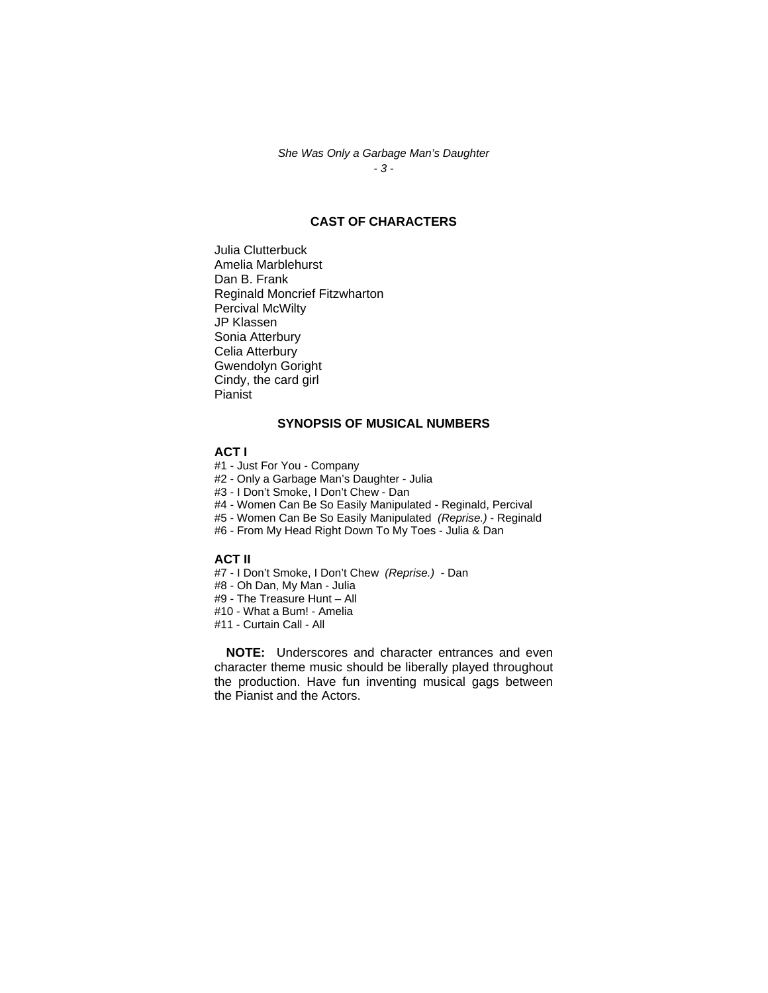### *She Was Only a Garbage Man's Daughter - 3 -*

## **CAST OF CHARACTERS**

Julia Clutterbuck Amelia Marblehurst Dan B. Frank Reginald Moncrief Fitzwharton Percival McWilty JP Klassen Sonia Atterbury Celia Atterbury Gwendolyn Goright Cindy, the card girl Pianist

### **SYNOPSIS OF MUSICAL NUMBERS**

### **ACT I**

#1 - Just For You - Company #2 - Only a Garbage Man's Daughter - Julia #3 - I Don't Smoke, I Don't Chew - Dan #4 - Women Can Be So Easily Manipulated - Reginald, Percival #5 - Women Can Be So Easily Manipulated *(Reprise.)* - Reginald #6 - From My Head Right Down To My Toes - Julia & Dan

### **ACT II**

#7 - I Don't Smoke, I Don't Chew *(Reprise.)* - Dan

#8 - Oh Dan, My Man - Julia

#9 - The Treasure Hunt – All

#10 - What a Bum! - Amelia

#11 - Curtain Call - All

**NOTE:** Underscores and character entrances and even character theme music should be liberally played throughout the production. Have fun inventing musical gags between the Pianist and the Actors.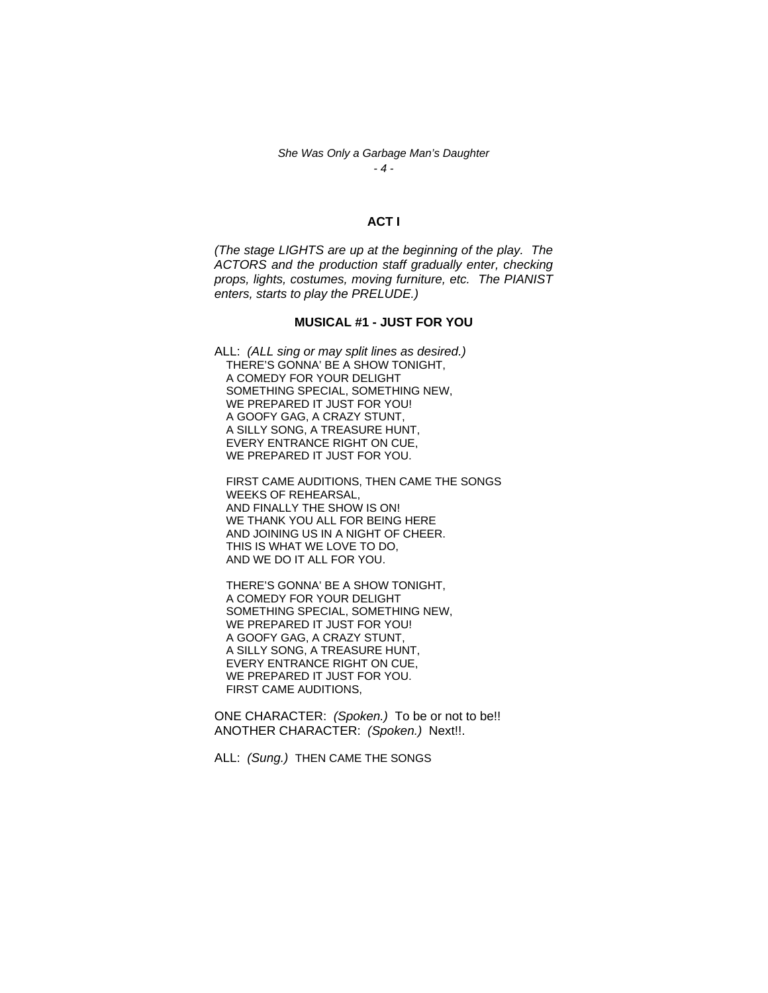*She Was Only a Garbage Man's Daughter - 4 -* 

### **ACT I**

*(The stage LIGHTS are up at the beginning of the play. The ACTORS and the production staff gradually enter, checking props, lights, costumes, moving furniture, etc. The PIANIST enters, starts to play the PRELUDE.)* 

#### **MUSICAL #1 - JUST FOR YOU**

ALL: *(ALL sing or may split lines as desired.)*  THERE'S GONNA' BE A SHOW TONIGHT, A COMEDY FOR YOUR DELIGHT SOMETHING SPECIAL, SOMETHING NEW, WE PREPARED IT JUST FOR YOU! A GOOFY GAG, A CRAZY STUNT, A SILLY SONG, A TREASURE HUNT, EVERY ENTRANCE RIGHT ON CUE, WE PREPARED IT JUST FOR YOU.

 FIRST CAME AUDITIONS, THEN CAME THE SONGS WEEKS OF REHEARSAL, AND FINALLY THE SHOW IS ON! WE THANK YOU ALL FOR BEING HERE AND JOINING US IN A NIGHT OF CHEER. THIS IS WHAT WE LOVE TO DO, AND WE DO IT ALL FOR YOU.

 THERE'S GONNA' BE A SHOW TONIGHT, A COMEDY FOR YOUR DELIGHT SOMETHING SPECIAL, SOMETHING NEW, WE PREPARED IT JUST FOR YOU! A GOOFY GAG, A CRAZY STUNT, A SILLY SONG, A TREASURE HUNT, EVERY ENTRANCE RIGHT ON CUE, WE PREPARED IT JUST FOR YOU. FIRST CAME AUDITIONS,

ONE CHARACTER: *(Spoken.)* To be or not to be!! ANOTHER CHARACTER: *(Spoken.)* Next!!.

ALL: *(Sung.)* THEN CAME THE SONGS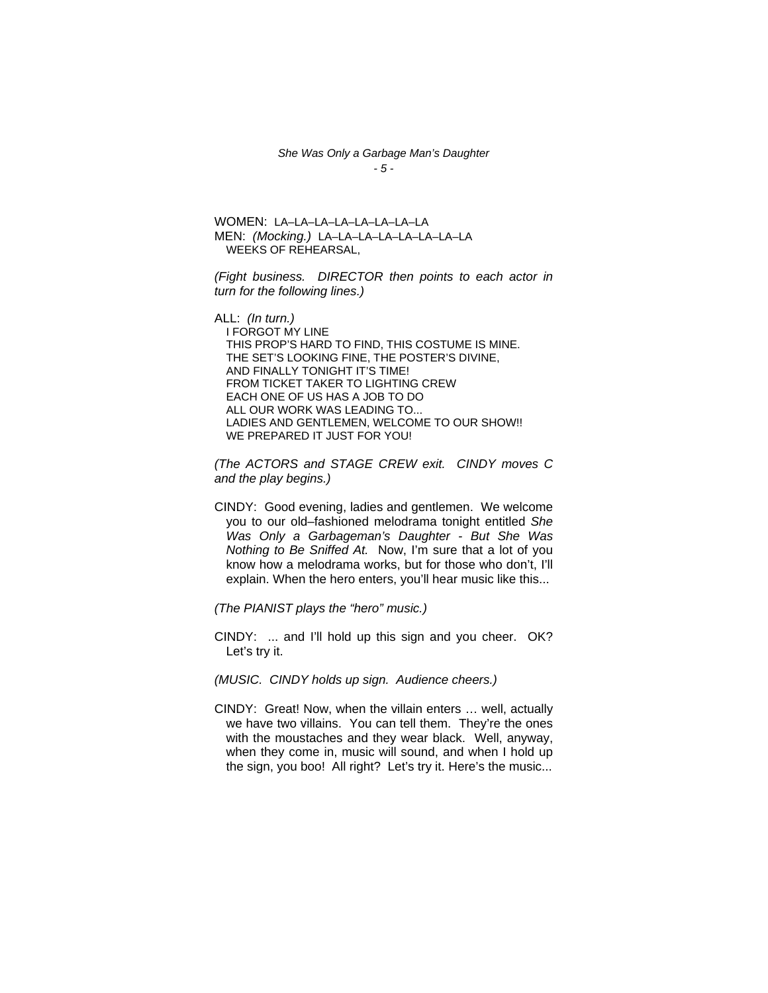#### *She Was Only a Garbage Man's Daughter - 5 -*

WOMEN: LA–LA–LA–LA–LA–LA–LA–LA MEN: *(Mocking.)* LA–LA–LA–LA–LA–LA–LA–LA WEEKS OF REHEARSAL,

*(Fight business. DIRECTOR then points to each actor in turn for the following lines.)* 

ALL: *(In turn.)*  I FORGOT MY LINE THIS PROP'S HARD TO FIND, THIS COSTUME IS MINE. THE SET'S LOOKING FINE, THE POSTER'S DIVINE, AND FINALLY TONIGHT IT'S TIME! FROM TICKET TAKER TO LIGHTING CREW EACH ONE OF US HAS A JOB TO DO ALL OUR WORK WAS LEADING TO... LADIES AND GENTLEMEN, WELCOME TO OUR SHOW!! WE PREPARED IT JUST FOR YOU!

*(The ACTORS and STAGE CREW exit. CINDY moves C and the play begins.)* 

CINDY: Good evening, ladies and gentlemen. We welcome you to our old–fashioned melodrama tonight entitled *She Was Only a Garbageman's Daughter - But She Was Nothing to Be Sniffed At.* Now, I'm sure that a lot of you know how a melodrama works, but for those who don't, I'll explain. When the hero enters, you'll hear music like this...

*(The PIANIST plays the "hero" music.)* 

- CINDY: ... and I'll hold up this sign and you cheer. OK? Let's try it.
- *(MUSIC. CINDY holds up sign. Audience cheers.)*
- CINDY: Great! Now, when the villain enters … well, actually we have two villains. You can tell them. They're the ones with the moustaches and they wear black. Well, anyway, when they come in, music will sound, and when I hold up the sign, you boo! All right? Let's try it. Here's the music...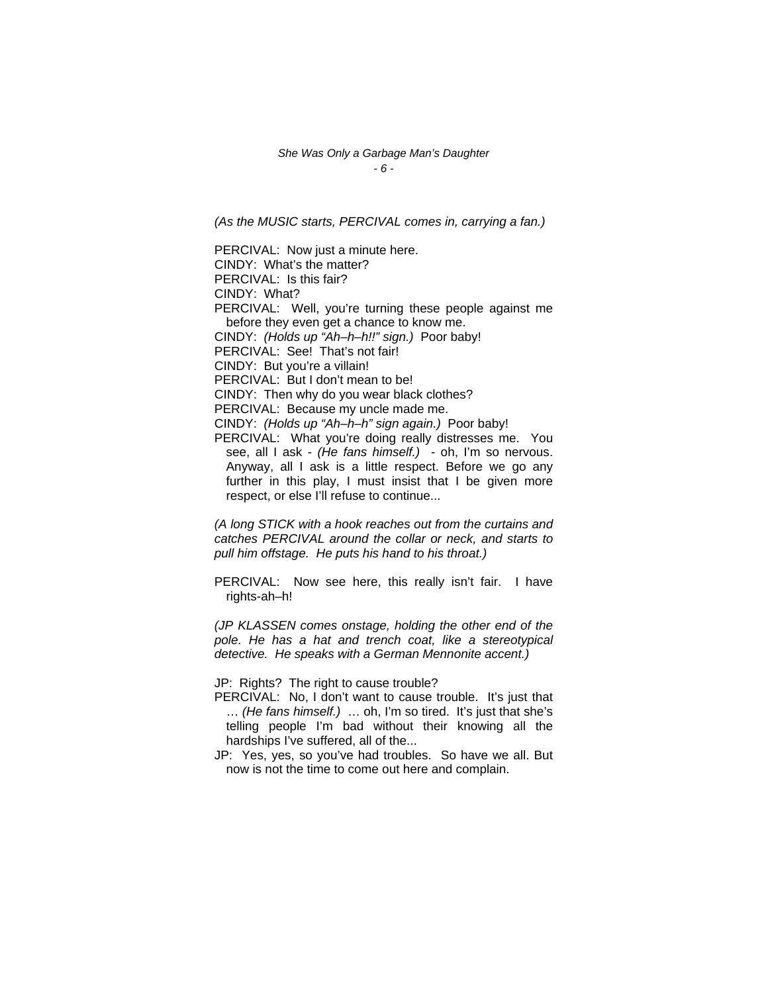*She Was Only a Garbage Man's Daughter - 6 -* 

*(As the MUSIC starts, PERCIVAL comes in, carrying a fan.)* 

PERCIVAL: Now just a minute here. CINDY: What's the matter? PERCIVAL: Is this fair? CINDY: What? PERCIVAL: Well, you're turning these people against me before they even get a chance to know me. CINDY: *(Holds up "Ah–h–h!!" sign.)* Poor baby! PERCIVAL: See! That's not fair! CINDY: But you're a villain! PERCIVAL: But I don't mean to be! CINDY: Then why do you wear black clothes? PERCIVAL: Because my uncle made me. CINDY: *(Holds up "Ah–h–h" sign again.)* Poor baby! PERCIVAL: What you're doing really distresses me. You see, all I ask - *(He fans himself.)* - oh, I'm so nervous. Anyway, all I ask is a little respect. Before we go any further in this play, I must insist that I be given more respect, or else I'll refuse to continue...

*(A long STICK with a hook reaches out from the curtains and catches PERCIVAL around the collar or neck, and starts to pull him offstage. He puts his hand to his throat.)*

PERCIVAL: Now see here, this really isn't fair. I have rights-ah–h!

*(JP KLASSEN comes onstage, holding the other end of the pole. He has a hat and trench coat, like a stereotypical detective. He speaks with a German Mennonite accent.)* 

JP: Rights? The right to cause trouble?

- PERCIVAL: No, I don't want to cause trouble. It's just that … *(He fans himself.)* … oh, I'm so tired. It's just that she's telling people I'm bad without their knowing all the hardships I've suffered, all of the...
- JP: Yes, yes, so you've had troubles. So have we all. But now is not the time to come out here and complain.